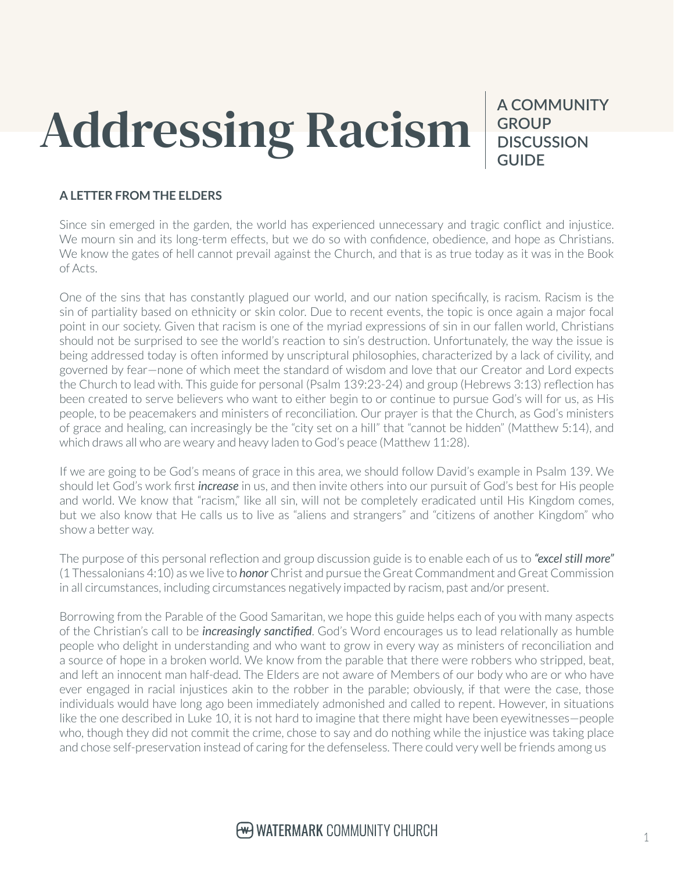# Addressing Racism

**A COMMUNITY GROUP DISCUSSION GUIDE**

#### **A LETTER FROM THE ELDERS**

Since sin emerged in the garden, the world has experienced unnecessary and tragic conflict and injustice. We mourn sin and its long-term effects, but we do so with confidence, obedience, and hope as Christians. We know the gates of hell cannot prevail against the Church, and that is as true today as it was in the Book of Acts.

One of the sins that has constantly plagued our world, and our nation specifically, is racism. Racism is the sin of partiality based on ethnicity or skin color. Due to recent events, the topic is once again a major focal point in our society. Given that racism is one of the myriad expressions of sin in our fallen world, Christians should not be surprised to see the world's reaction to sin's destruction. Unfortunately, the way the issue is being addressed today is often informed by unscriptural philosophies, characterized by a lack of civility, and governed by fear—none of which meet the standard of wisdom and love that our Creator and Lord expects the Church to lead with. This guide for personal (Psalm 139:23-24) and group (Hebrews 3:13) reflection has been created to serve believers who want to either begin to or continue to pursue God's will for us, as His people, to be peacemakers and ministers of reconciliation. Our prayer is that the Church, as God's ministers of grace and healing, can increasingly be the "city set on a hill" that "cannot be hidden" (Matthew 5:14), and which draws all who are weary and heavy laden to God's peace (Matthew 11:28).

If we are going to be God's means of grace in this area, we should follow David's example in Psalm 139. We should let God's work first *increase* in us, and then invite others into our pursuit of God's best for His people and world. We know that "racism," like all sin, will not be completely eradicated until His Kingdom comes, but we also know that He calls us to live as "aliens and strangers" and "citizens of another Kingdom" who show a better way.

The purpose of this personal reflection and group discussion guide is to enable each of us to *"excel still more"* (1 Thessalonians 4:10) as we live to *honor* Christ and pursue the Great Commandment and Great Commission in all circumstances, including circumstances negatively impacted by racism, past and/or present.

Borrowing from the Parable of the Good Samaritan, we hope this guide helps each of you with many aspects of the Christian's call to be *increasingly sanctified*. God's Word encourages us to lead relationally as humble people who delight in understanding and who want to grow in every way as ministers of reconciliation and a source of hope in a broken world. We know from the parable that there were robbers who stripped, beat, and left an innocent man half-dead. The Elders are not aware of Members of our body who are or who have ever engaged in racial injustices akin to the robber in the parable; obviously, if that were the case, those individuals would have long ago been immediately admonished and called to repent. However, in situations like the one described in Luke 10, it is not hard to imagine that there might have been eyewitnesses—people who, though they did not commit the crime, chose to say and do nothing while the injustice was taking place and chose self-preservation instead of caring for the defenseless. There could very well be friends among us

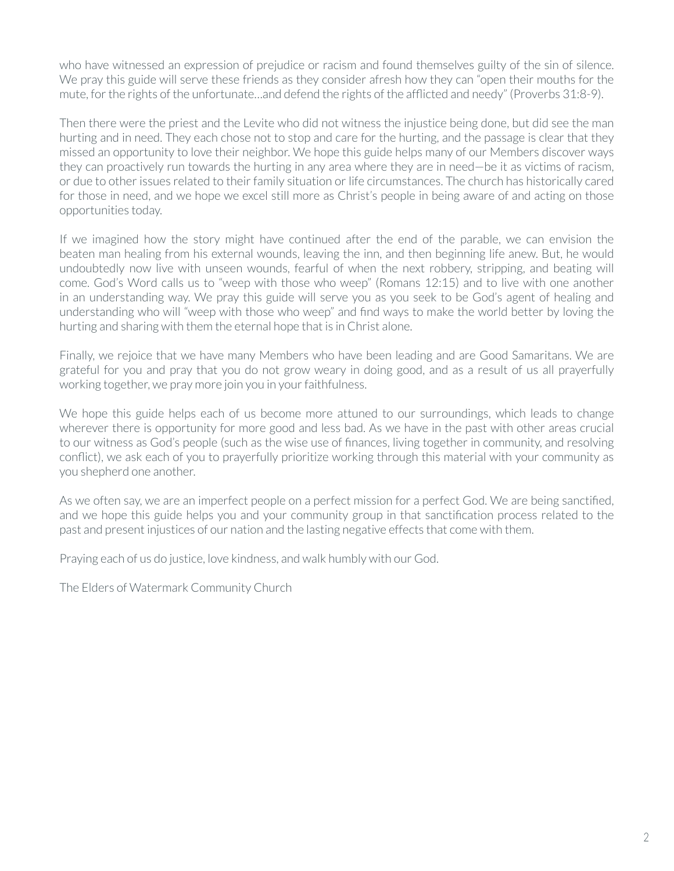who have witnessed an expression of prejudice or racism and found themselves guilty of the sin of silence. We pray this guide will serve these friends as they consider afresh how they can "open their mouths for the mute, for the rights of the unfortunate…and defend the rights of the afflicted and needy" (Proverbs 31:8-9).

Then there were the priest and the Levite who did not witness the injustice being done, but did see the man hurting and in need. They each chose not to stop and care for the hurting, and the passage is clear that they missed an opportunity to love their neighbor. We hope this guide helps many of our Members discover ways they can proactively run towards the hurting in any area where they are in need—be it as victims of racism, or due to other issues related to their family situation or life circumstances. The church has historically cared for those in need, and we hope we excel still more as Christ's people in being aware of and acting on those opportunities today.

If we imagined how the story might have continued after the end of the parable, we can envision the beaten man healing from his external wounds, leaving the inn, and then beginning life anew. But, he would undoubtedly now live with unseen wounds, fearful of when the next robbery, stripping, and beating will come. God's Word calls us to "weep with those who weep" (Romans 12:15) and to live with one another in an understanding way. We pray this guide will serve you as you seek to be God's agent of healing and understanding who will "weep with those who weep" and find ways to make the world better by loving the hurting and sharing with them the eternal hope that is in Christ alone.

Finally, we rejoice that we have many Members who have been leading and are Good Samaritans. We are grateful for you and pray that you do not grow weary in doing good, and as a result of us all prayerfully working together, we pray more join you in your faithfulness.

We hope this guide helps each of us become more attuned to our surroundings, which leads to change wherever there is opportunity for more good and less bad. As we have in the past with other areas crucial to our witness as God's people (such as the wise use of finances, living together in community, and resolving conflict), we ask each of you to prayerfully prioritize working through this material with your community as you shepherd one another.

As we often say, we are an imperfect people on a perfect mission for a perfect God. We are being sanctified, and we hope this guide helps you and your community group in that sanctification process related to the past and present injustices of our nation and the lasting negative effects that come with them.

Praying each of us do justice, love kindness, and walk humbly with our God.

The Elders of Watermark Community Church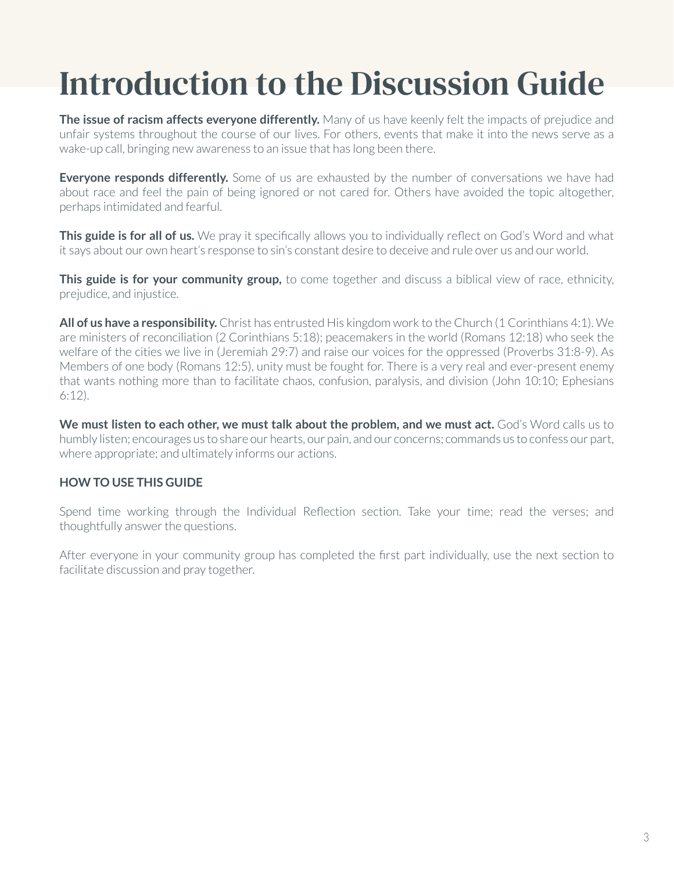## Introduction to the Discussion Guide

**The issue of racism affects everyone differently.** Many of us have keenly felt the impacts of prejudice and unfair systems throughout the course of our lives. For others, events that make it into the news serve as a wake-up call, bringing new awareness to an issue that has long been there.

**Everyone responds differently.** Some of us are exhausted by the number of conversations we have had about race and feel the pain of being ignored or not cared for. Others have avoided the topic altogether, perhaps intimidated and fearful.

**This guide is for all of us.** We pray it specifically allows you to individually reflect on God's Word and what it says about our own heart's response to sin's constant desire to deceive and rule over us and our world.

**This guide is for your community group,** to come together and discuss a biblical view of race, ethnicity, prejudice, and injustice.

**All of us have a responsibility.** Christ has entrusted His kingdom work to the Church (1 Corinthians 4:1). We are ministers of reconciliation (2 Corinthians 5:18); peacemakers in the world (Romans 12:18) who seek the welfare of the cities we live in (Jeremiah 29:7) and raise our voices for the oppressed (Proverbs 31:8-9). As Members of one body (Romans 12:5), unity must be fought for. There is a very real and ever-present enemy that wants nothing more than to facilitate chaos, confusion, paralysis, and division (John 10:10; Ephesians 6:12).

**We must listen to each other, we must talk about the problem, and we must act.** God's Word calls us to humbly listen; encourages us to share our hearts, our pain, and our concerns; commands us to confess our part, where appropriate; and ultimately informs our actions.

#### **HOW TO USE THIS GUIDE**

Spend time working through the Individual Reflection section. Take your time; read the verses; and thoughtfully answer the questions.

After everyone in your community group has completed the first part individually, use the next section to facilitate discussion and pray together.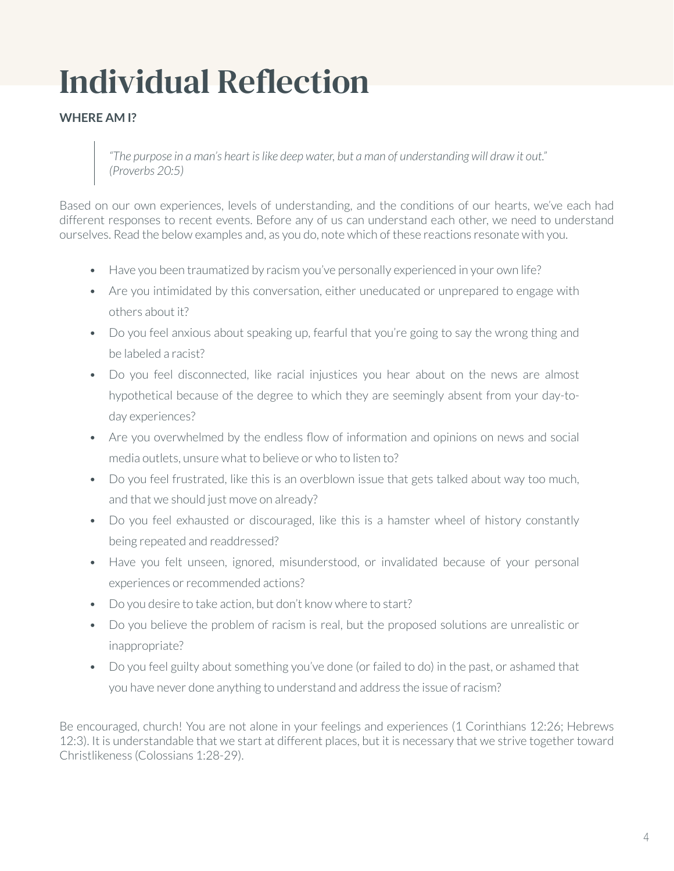# Individual Reflection

#### **WHERE AM I?**

*"The purpose in a man's heart is like deep water, but a man of understanding will draw it out." (Proverbs 20:5)*

Based on our own experiences, levels of understanding, and the conditions of our hearts, we've each had different responses to recent events. Before any of us can understand each other, we need to understand ourselves. Read the below examples and, as you do, note which of these reactions resonate with you.

- Have you been traumatized by racism you've personally experienced in your own life?
- Are you intimidated by this conversation, either uneducated or unprepared to engage with others about it?
- Do you feel anxious about speaking up, fearful that you're going to say the wrong thing and be labeled a racist?
- Do you feel disconnected, like racial injustices you hear about on the news are almost hypothetical because of the degree to which they are seemingly absent from your day-today experiences?
- Are you overwhelmed by the endless flow of information and opinions on news and social media outlets, unsure what to believe or who to listen to?
- Do you feel frustrated, like this is an overblown issue that gets talked about way too much, and that we should just move on already?
- Do you feel exhausted or discouraged, like this is a hamster wheel of history constantly being repeated and readdressed?
- Have you felt unseen, ignored, misunderstood, or invalidated because of your personal experiences or recommended actions?
- Do you desire to take action, but don't know where to start?
- Do you believe the problem of racism is real, but the proposed solutions are unrealistic or inappropriate?
- Do you feel guilty about something you've done (or failed to do) in the past, or ashamed that you have never done anything to understand and address the issue of racism?

Be encouraged, church! You are not alone in your feelings and experiences (1 Corinthians 12:26; Hebrews 12:3). It is understandable that we start at different places, but it is necessary that we strive together toward Christlikeness (Colossians 1:28-29).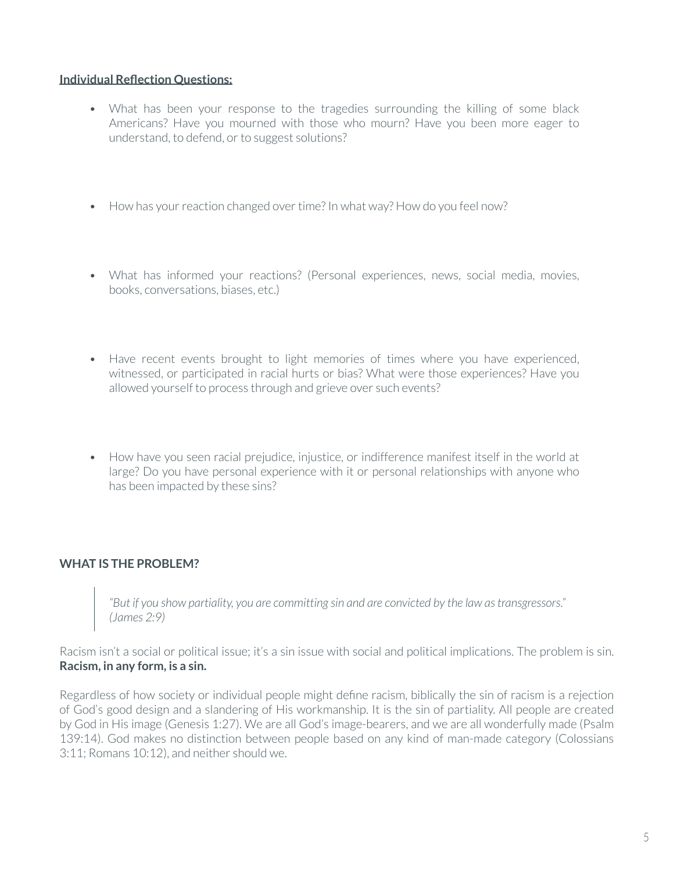#### **Individual Reflection Questions:**

- What has been your response to the tragedies surrounding the killing of some black Americans? Have you mourned with those who mourn? Have you been more eager to understand, to defend, or to suggest solutions?
- How has your reaction changed over time? In what way? How do you feel now?
- What has informed your reactions? (Personal experiences, news, social media, movies, books, conversations, biases, etc.)
- Have recent events brought to light memories of times where you have experienced, witnessed, or participated in racial hurts or bias? What were those experiences? Have you allowed yourself to process through and grieve over such events?
- How have you seen racial prejudice, injustice, or indifference manifest itself in the world at large? Do you have personal experience with it or personal relationships with anyone who has been impacted by these sins?

#### **WHAT IS THE PROBLEM?**

*"But if you show partiality, you are committing sin and are convicted by the law as transgressors." (James 2:9)*

Racism isn't a social or political issue; it's a sin issue with social and political implications. The problem is sin. **Racism, in any form, is a sin.**

Regardless of how society or individual people might define racism, biblically the sin of racism is a rejection of God's good design and a slandering of His workmanship. It is the sin of partiality. All people are created by God in His image (Genesis 1:27). We are all God's image-bearers, and we are all wonderfully made (Psalm 139:14). God makes no distinction between people based on any kind of man-made category (Colossians 3:11; Romans 10:12), and neither should we.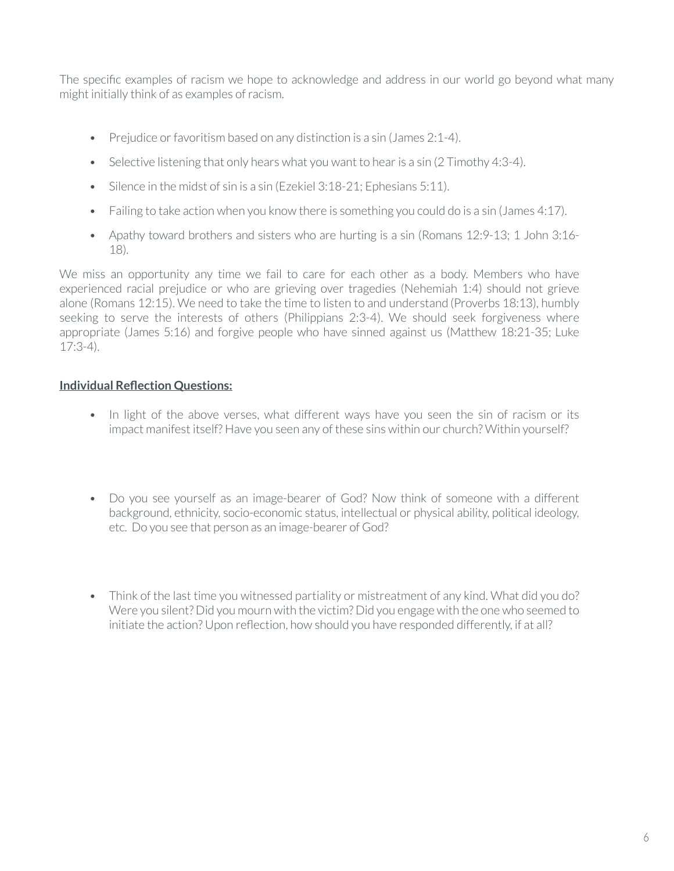The specific examples of racism we hope to acknowledge and address in our world go beyond what many might initially think of as examples of racism.

- Prejudice or favoritism based on any distinction is a sin (James 2:1-4).
- Selective listening that only hears what you want to hear is a sin (2 Timothy 4:3-4).
- Silence in the midst of sin is a sin (Ezekiel 3:18-21; Ephesians 5:11).
- Failing to take action when you know there is something you could do is a sin (James 4:17).
- Apathy toward brothers and sisters who are hurting is a sin (Romans 12:9-13; 1 John 3:16-18).

We miss an opportunity any time we fail to care for each other as a body. Members who have experienced racial prejudice or who are grieving over tragedies (Nehemiah 1:4) should not grieve alone (Romans 12:15). We need to take the time to listen to and understand (Proverbs 18:13), humbly seeking to serve the interests of others (Philippians 2:3-4). We should seek forgiveness where appropriate (James 5:16) and forgive people who have sinned against us (Matthew 18:21-35; Luke 17:3-4).

#### **Individual Reflection Questions:**

- In light of the above verses, what different ways have you seen the sin of racism or its impact manifest itself? Have you seen any of these sins within our church? Within yourself?
- Do you see yourself as an image-bearer of God? Now think of someone with a different background, ethnicity, socio-economic status, intellectual or physical ability, political ideology, etc. Do you see that person as an image-bearer of God?
- Think of the last time you witnessed partiality or mistreatment of any kind. What did you do? Were you silent? Did you mourn with the victim? Did you engage with the one who seemed to initiate the action? Upon reflection, how should you have responded differently, if at all?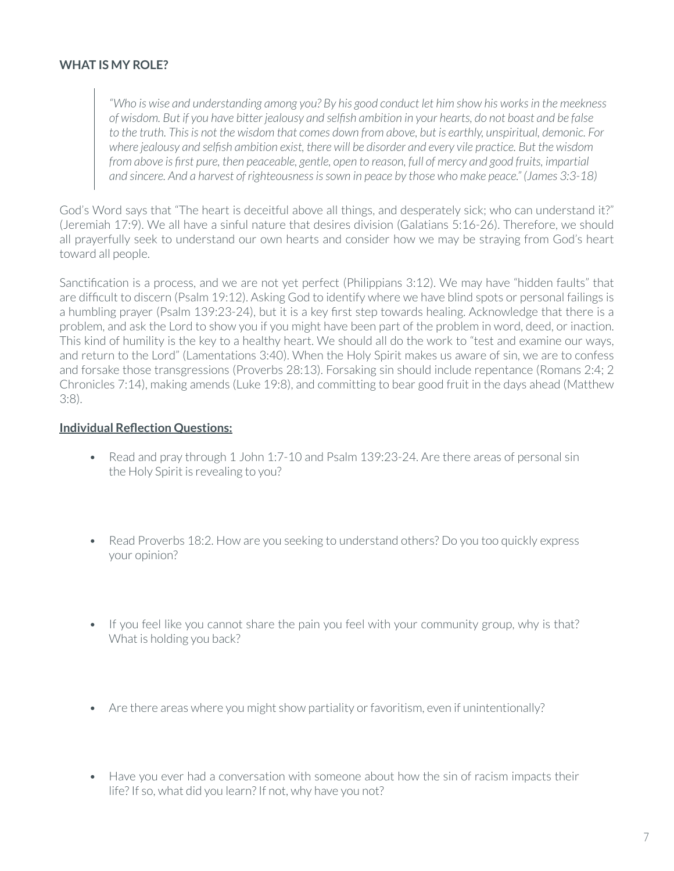#### **WHAT IS MY ROLE?**

*"Who is wise and understanding among you? By his good conduct let him show his works in the meekness of wisdom. But if you have bitter jealousy and selfish ambition in your hearts, do not boast and be false to the truth. This is not the wisdom that comes down from above, but is earthly, unspiritual, demonic. For where jealousy and selfish ambition exist, there will be disorder and every vile practice. But the wisdom from above is first pure, then peaceable, gentle, open to reason, full of mercy and good fruits, impartial and sincere. And a harvest of righteousness is sown in peace by those who make peace." (James 3:3-18)*

God's Word says that "The heart is deceitful above all things, and desperately sick; who can understand it?" (Jeremiah 17:9). We all have a sinful nature that desires division (Galatians 5:16-26). Therefore, we should all prayerfully seek to understand our own hearts and consider how we may be straying from God's heart toward all people.

Sanctification is a process, and we are not yet perfect (Philippians 3:12). We may have "hidden faults" that are difficult to discern (Psalm 19:12). Asking God to identify where we have blind spots or personal failings is a humbling prayer (Psalm 139:23-24), but it is a key first step towards healing. Acknowledge that there is a problem, and ask the Lord to show you if you might have been part of the problem in word, deed, or inaction. This kind of humility is the key to a healthy heart. We should all do the work to "test and examine our ways, and return to the Lord" (Lamentations 3:40). When the Holy Spirit makes us aware of sin, we are to confess and forsake those transgressions (Proverbs 28:13). Forsaking sin should include repentance (Romans 2:4; 2 Chronicles 7:14), making amends (Luke 19:8), and committing to bear good fruit in the days ahead (Matthew 3:8).

#### **Individual Reflection Questions:**

- Read and pray through 1 John 1:7-10 and Psalm 139:23-24. Are there areas of personal sin the Holy Spirit is revealing to you?
- Read Proverbs 18:2. How are you seeking to understand others? Do you too quickly express your opinion?
- If you feel like you cannot share the pain you feel with your community group, why is that? What is holding you back?
- Are there areas where you might show partiality or favoritism, even if unintentionally?
- Have you ever had a conversation with someone about how the sin of racism impacts their life? If so, what did you learn? If not, why have you not?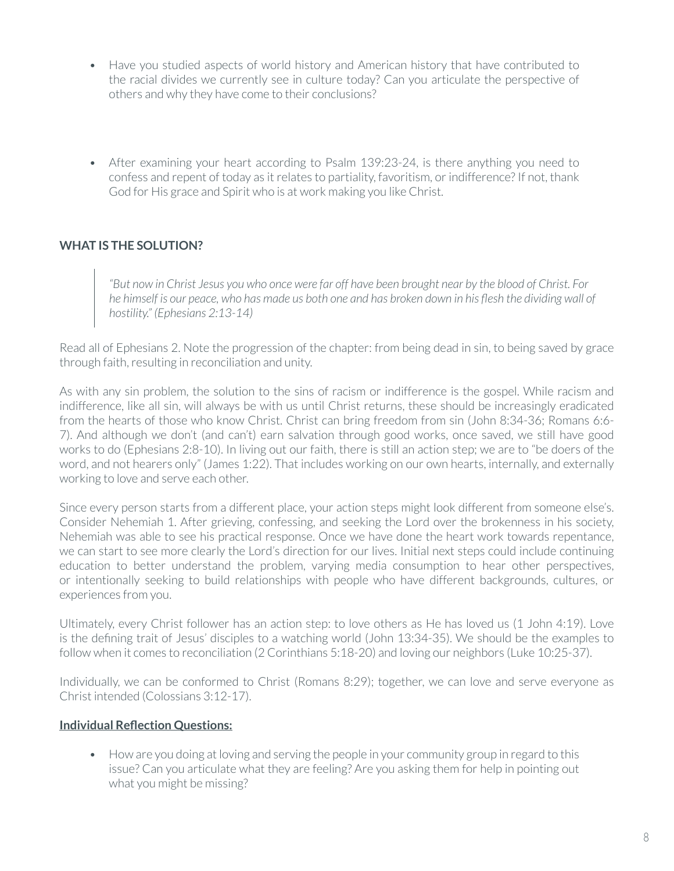- Have you studied aspects of world history and American history that have contributed to the racial divides we currently see in culture today? Can you articulate the perspective of others and why they have come to their conclusions?
- After examining your heart according to Psalm 139:23-24, is there anything you need to confess and repent of today as it relates to partiality, favoritism, or indifference? If not, thank God for His grace and Spirit who is at work making you like Christ.

#### **WHAT IS THE SOLUTION?**

*"But now in Christ Jesus you who once were far off have been brought near by the blood of Christ. For he himself is our peace, who has made us both one and has broken down in his flesh the dividing wall of hostility." (Ephesians 2:13-14)*

Read all of Ephesians 2. Note the progression of the chapter: from being dead in sin, to being saved by grace through faith, resulting in reconciliation and unity.

As with any sin problem, the solution to the sins of racism or indifference is the gospel. While racism and indifference, like all sin, will always be with us until Christ returns, these should be increasingly eradicated from the hearts of those who know Christ. Christ can bring freedom from sin (John 8:34-36; Romans 6:6- 7). And although we don't (and can't) earn salvation through good works, once saved, we still have good works to do (Ephesians 2:8-10). In living out our faith, there is still an action step; we are to "be doers of the word, and not hearers only" (James 1:22). That includes working on our own hearts, internally, and externally working to love and serve each other.

Since every person starts from a different place, your action steps might look different from someone else's. Consider Nehemiah 1. After grieving, confessing, and seeking the Lord over the brokenness in his society, Nehemiah was able to see his practical response. Once we have done the heart work towards repentance, we can start to see more clearly the Lord's direction for our lives. Initial next steps could include continuing education to better understand the problem, varying media consumption to hear other perspectives, or intentionally seeking to build relationships with people who have different backgrounds, cultures, or experiences from you.

Ultimately, every Christ follower has an action step: to love others as He has loved us (1 John 4:19). Love is the defining trait of Jesus' disciples to a watching world (John 13:34-35). We should be the examples to follow when it comes to reconciliation (2 Corinthians 5:18-20) and loving our neighbors (Luke 10:25-37).

Individually, we can be conformed to Christ (Romans 8:29); together, we can love and serve everyone as Christ intended (Colossians 3:12-17).

#### **Individual Reflection Questions:**

• How are you doing at loving and serving the people in your community group in regard to this issue? Can you articulate what they are feeling? Are you asking them for help in pointing out what you might be missing?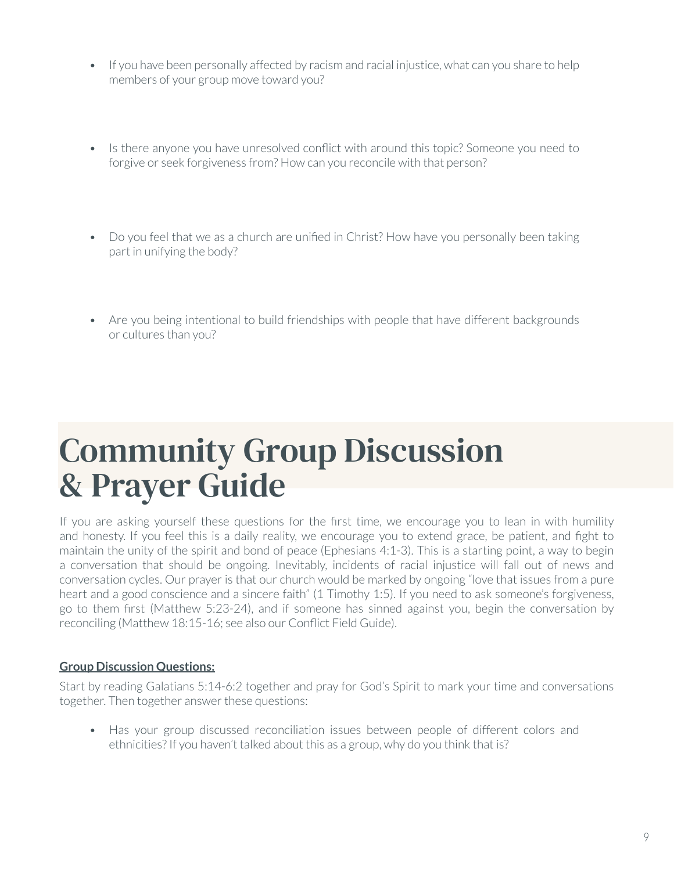- If you have been personally affected by racism and racial injustice, what can you share to help members of your group move toward you?
- Is there anyone you have unresolved conflict with around this topic? Someone you need to forgive or seek forgiveness from? How can you reconcile with that person?
- Do you feel that we as a church are unified in Christ? How have you personally been taking part in unifying the body?
- Are you being intentional to build friendships with people that have different backgrounds or cultures than you?

### Community Group Discussion & Prayer Guide

If you are asking yourself these questions for the first time, we encourage you to lean in with humility and honesty. If you feel this is a daily reality, we encourage you to extend grace, be patient, and fight to maintain the unity of the spirit and bond of peace (Ephesians 4:1-3). This is a starting point, a way to begin a conversation that should be ongoing. Inevitably, incidents of racial injustice will fall out of news and conversation cycles. Our prayer is that our church would be marked by ongoing "love that issues from a pure heart and a good conscience and a sincere faith" (1 Timothy 1:5). If you need to ask someone's forgiveness, go to them first (Matthew 5:23-24), and if someone has sinned against you, begin the conversation by reconciling (Matthew 18:15-16; see also our Conflict Field Guide).

#### **Group Discussion Questions:**

Start by reading Galatians 5:14-6:2 together and pray for God's Spirit to mark your time and conversations together. Then together answer these questions:

• Has your group discussed reconciliation issues between people of different colors and ethnicities? If you haven't talked about this as a group, why do you think that is?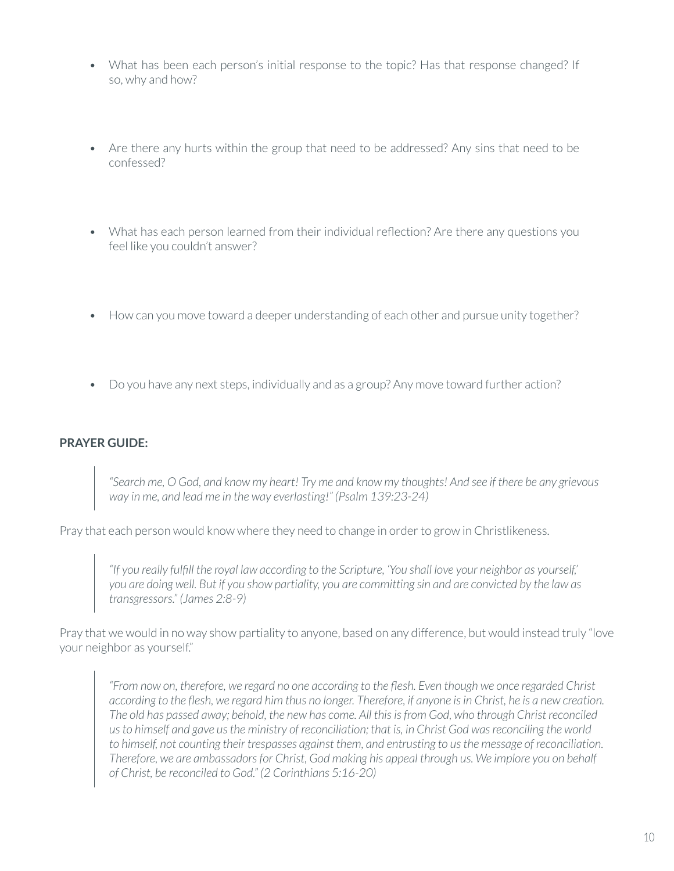- What has been each person's initial response to the topic? Has that response changed? If so, why and how?
- Are there any hurts within the group that need to be addressed? Any sins that need to be confessed?
- What has each person learned from their individual reflection? Are there any questions you feel like you couldn't answer?
- How can you move toward a deeper understanding of each other and pursue unity together?
- Do you have any next steps, individually and as a group? Any move toward further action?

#### **PRAYER GUIDE:**

*"Search me, O God, and know my heart! Try me and know my thoughts! And see if there be any grievous way in me, and lead me in the way everlasting!" (Psalm 139:23-24)*

Pray that each person would know where they need to change in order to grow in Christlikeness.

*"If you really fulfill the royal law according to the Scripture, 'You shall love your neighbor as yourself,' you are doing well. But if you show partiality, you are committing sin and are convicted by the law as transgressors." (James 2:8-9)*

Pray that we would in no way show partiality to anyone, based on any difference, but would instead truly "love your neighbor as yourself."

*"From now on, therefore, we regard no one according to the flesh. Even though we once regarded Christ according to the flesh, we regard him thus no longer. Therefore, if anyone is in Christ, he is a new creation. The old has passed away; behold, the new has come. All this is from God, who through Christ reconciled us to himself and gave us the ministry of reconciliation; that is, in Christ God was reconciling the world to himself, not counting their trespasses against them, and entrusting to us the message of reconciliation. Therefore, we are ambassadors for Christ, God making his appeal through us. We implore you on behalf of Christ, be reconciled to God." (2 Corinthians 5:16-20)*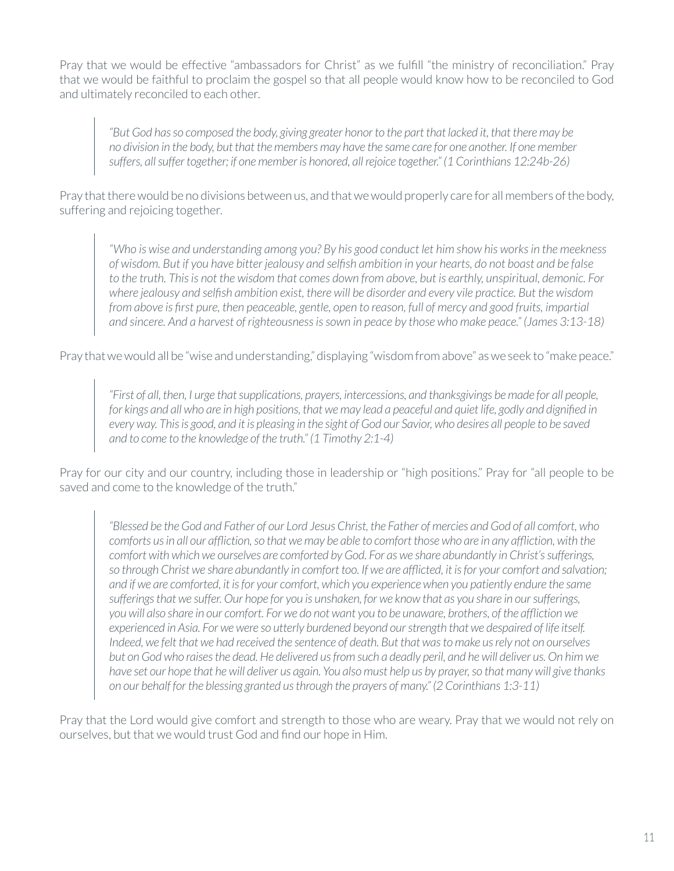Pray that we would be effective "ambassadors for Christ" as we fulfill "the ministry of reconciliation." Pray that we would be faithful to proclaim the gospel so that all people would know how to be reconciled to God and ultimately reconciled to each other.

*"But God has so composed the body, giving greater honor to the part that lacked it, that there may be no division in the body, but that the members may have the same care for one another. If one member suffers, all suffer together; if one member is honored, all rejoice together." (1 Corinthians 12:24b-26)*

Pray that there would be no divisions between us, and that we would properly care for all members of the body, suffering and rejoicing together.

*"Who is wise and understanding among you? By his good conduct let him show his works in the meekness of wisdom. But if you have bitter jealousy and selfish ambition in your hearts, do not boast and be false to the truth. This is not the wisdom that comes down from above, but is earthly, unspiritual, demonic. For where jealousy and selfish ambition exist, there will be disorder and every vile practice. But the wisdom from above is first pure, then peaceable, gentle, open to reason, full of mercy and good fruits, impartial and sincere. And a harvest of righteousness is sown in peace by those who make peace." (James 3:13-18)*

Pray that we would all be "wise and understanding," displaying "wisdom from above" as we seek to "make peace."

*"First of all, then, I urge that supplications, prayers, intercessions, and thanksgivings be made for all people, for kings and all who are in high positions, that we may lead a peaceful and quiet life, godly and dignified in every way. This is good, and it is pleasing in the sight of God our Savior, who desires all people to be saved and to come to the knowledge of the truth." (1 Timothy 2:1-4)*

Pray for our city and our country, including those in leadership or "high positions." Pray for "all people to be saved and come to the knowledge of the truth."

*"Blessed be the God and Father of our Lord Jesus Christ, the Father of mercies and God of all comfort, who comforts us in all our affliction, so that we may be able to comfort those who are in any affliction, with the comfort with which we ourselves are comforted by God. For as we share abundantly in Christ's sufferings,*  so through Christ we share abundantly in comfort too. If we are afflicted, it is for your comfort and salvation; *and if we are comforted, it is for your comfort, which you experience when you patiently endure the same sufferings that we suffer. Our hope for you is unshaken, for we know that as you share in our sufferings, you will also share in our comfort. For we do not want you to be unaware, brothers, of the affliction we experienced in Asia. For we were so utterly burdened beyond our strength that we despaired of life itself. Indeed, we felt that we had received the sentence of death. But that was to make us rely not on ourselves but on God who raises the dead. He delivered us from such a deadly peril, and he will deliver us. On him we have set our hope that he will deliver us again. You also must help us by prayer, so that many will give thanks on our behalf for the blessing granted us through the prayers of many." (2 Corinthians 1:3-11)*

Pray that the Lord would give comfort and strength to those who are weary. Pray that we would not rely on ourselves, but that we would trust God and find our hope in Him.